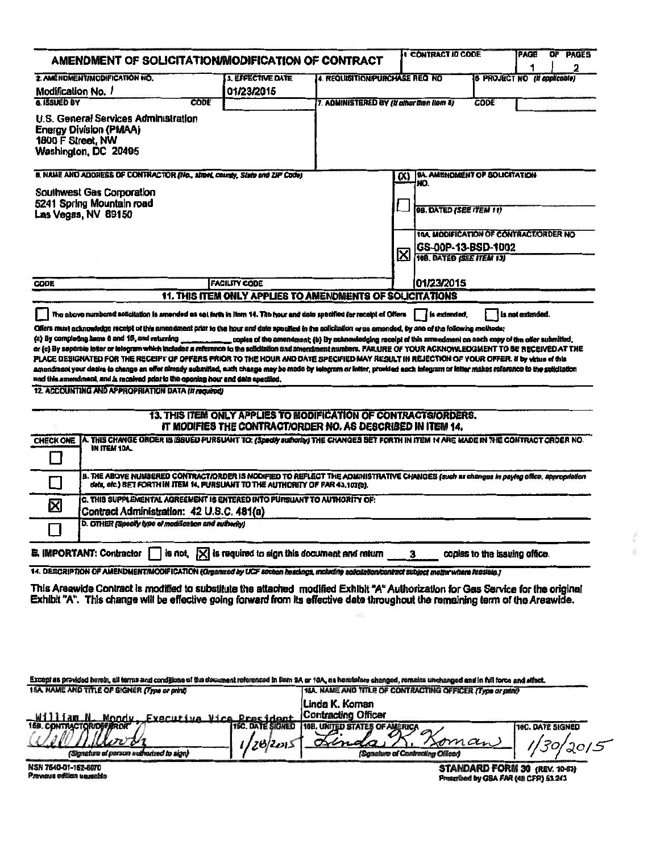| AMENDMENT OF SOLICITATION/MODIFICATION OF CONTRACT                                                                                                                                                                                                                                                                             |                                                                 |                                                                                                                                |                                | 1 CONTRACT ID CODE                                          |                                       | PAGE                                | PAGES<br>O۴ |
|--------------------------------------------------------------------------------------------------------------------------------------------------------------------------------------------------------------------------------------------------------------------------------------------------------------------------------|-----------------------------------------------------------------|--------------------------------------------------------------------------------------------------------------------------------|--------------------------------|-------------------------------------------------------------|---------------------------------------|-------------------------------------|-------------|
| 2. AMÉNDMENTIMODIFICATION NO.<br><b>3. EFFECTIVE DATE</b><br>4. REQUISITION/PURCHASE REQ NO                                                                                                                                                                                                                                    |                                                                 |                                                                                                                                |                                |                                                             |                                       | <b>6 PROJECT NO (if opplicable)</b> | 2           |
| Modification No. 1                                                                                                                                                                                                                                                                                                             | 01/23/2015                                                      |                                                                                                                                |                                |                                                             |                                       |                                     |             |
| 6. ISSUED BY<br>CODE                                                                                                                                                                                                                                                                                                           |                                                                 | 7. ADMINISTERED BY (If other then Ilem 8)                                                                                      |                                |                                                             | CODE                                  |                                     |             |
| U.S. General Services Administration<br><b>Energy Division (PMAA)</b><br>1800 F Street, NW<br>Washington, DC 20405                                                                                                                                                                                                             |                                                                 |                                                                                                                                |                                |                                                             |                                       |                                     |             |
| B. NAME AND ADDRESS OF CONTRACTOR (No., alreal, county, State and ZIP Code)                                                                                                                                                                                                                                                    |                                                                 |                                                                                                                                |                                | (X) 9A. AMENDMENT OF SOLICITATION                           |                                       |                                     |             |
| <b>Southwest Gas Corporation</b>                                                                                                                                                                                                                                                                                               |                                                                 |                                                                                                                                |                                | NO.                                                         |                                       |                                     |             |
| 5241 Spring Mountain road                                                                                                                                                                                                                                                                                                      |                                                                 |                                                                                                                                | <b>98. DATED (SEE ITEM 11)</b> |                                                             |                                       |                                     |             |
| Las Vegas, NV 89150                                                                                                                                                                                                                                                                                                            |                                                                 |                                                                                                                                |                                |                                                             |                                       |                                     |             |
|                                                                                                                                                                                                                                                                                                                                |                                                                 |                                                                                                                                |                                | <b><i><u>TOA, MODIFICATION OF CONTRACT/ORDER NO</u></i></b> |                                       |                                     |             |
|                                                                                                                                                                                                                                                                                                                                |                                                                 |                                                                                                                                |                                | GS-00P-13-BSD-1002                                          |                                       |                                     |             |
|                                                                                                                                                                                                                                                                                                                                |                                                                 | ⊠                                                                                                                              | 10B. DATED (SEE ITEM 13)       |                                                             |                                       |                                     |             |
| <b>FACILITY CODE</b><br><b>CODE</b>                                                                                                                                                                                                                                                                                            |                                                                 |                                                                                                                                |                                | 01/23/2015                                                  |                                       |                                     |             |
| 11. THIS ITEM ONLY APPLIES TO AMENDMENTS OF SOLICITATIONS                                                                                                                                                                                                                                                                      |                                                                 |                                                                                                                                |                                |                                                             |                                       |                                     |             |
| The above numbered solicitation is amended as set forth in Hem 14. The hour and date specified for receipt of Offere                                                                                                                                                                                                           |                                                                 |                                                                                                                                |                                | is extended.                                                |                                       | is not extended.                    |             |
| Offers must acknowledge receipt of this amendment prior to the hour and date specified in the solicitation or us amended, by one of the following methods:                                                                                                                                                                     |                                                                 |                                                                                                                                |                                |                                                             |                                       |                                     |             |
| (a) By completing liams 8 and 15, and returning                                                                                                                                                                                                                                                                                |                                                                 | , copies of the amendment; (b) By acknowledging receipt of this amendment on each capy of the offer submitted;                 |                                |                                                             |                                       |                                     |             |
| or (c) By separale letter or telegram which includes a reference to the selicitation and amendment numbers. PAILURE OF YOUR ACKNOWLEDGMENT TO BE RECEIVED AT THE                                                                                                                                                               |                                                                 |                                                                                                                                |                                |                                                             |                                       |                                     |             |
| PLACE DESIGNATED FOR THE RECEIFT OF OFFERS PRIOR TO THE HOUR AND DATE SPECIFIED MAY RESULT IN REJECTION OF YOUR OFFER. If by virtua of this<br>amendment your desire to change an offer already submitted, such change may be mede by telegram or letter, provided each telegram or letter makes reference to the späcifietion |                                                                 |                                                                                                                                |                                |                                                             |                                       |                                     |             |
| and this amendment, and is received prior to the opening hour and date specified.                                                                                                                                                                                                                                              |                                                                 |                                                                                                                                |                                |                                                             |                                       |                                     |             |
| 12. ACCOUNTING AND APPROPRIATION DATA (if required)                                                                                                                                                                                                                                                                            |                                                                 |                                                                                                                                |                                |                                                             |                                       |                                     |             |
|                                                                                                                                                                                                                                                                                                                                |                                                                 |                                                                                                                                |                                |                                                             |                                       |                                     |             |
|                                                                                                                                                                                                                                                                                                                                |                                                                 | 13. THIS ITEM ONLY APPLIES TO MODIFICATION OF CONTRACTS/ORDERS.<br>IT MODIFIES THE CONTRACTIORDER NO. AS DESCRIBED IN ITEM 14. |                                |                                                             |                                       |                                     |             |
| A. THIS CHANGE ORDER IS ISSUED PURSUANT TO: <i>(Specily suthority)</i> THE CHANGES SET FORTH IN ITEM 14 ARE MADE IN THE CONTRACT ORDER NO.<br><b>CHECK ONE</b>                                                                                                                                                                 |                                                                 |                                                                                                                                |                                |                                                             |                                       |                                     |             |
| IN ITEM 10A                                                                                                                                                                                                                                                                                                                    |                                                                 |                                                                                                                                |                                |                                                             |                                       |                                     |             |
|                                                                                                                                                                                                                                                                                                                                |                                                                 |                                                                                                                                |                                |                                                             |                                       |                                     |             |
| B. THE ABOVE NUMBERED CONTRACT/ORDER IS MODIFIED TO REFLECT THE ADMINISTRATIVE CHANGES (such as changes in paying office, appropriation<br>deta, etc.) SET FORTH IN ITEM 14, PURSUANT TO THE AUTHORITY OF FAR 43.103(b).                                                                                                       |                                                                 |                                                                                                                                |                                |                                                             |                                       |                                     |             |
| C. THIS SUPPLEMENTAL AGREEMENT IS ENTERED INTO PURSUANT TO AUTHORITY OF:                                                                                                                                                                                                                                                       |                                                                 |                                                                                                                                |                                |                                                             |                                       |                                     |             |
| 区<br>Contract Administration: 42 U.S.C. 481(a)                                                                                                                                                                                                                                                                                 |                                                                 |                                                                                                                                |                                |                                                             |                                       |                                     |             |
| D. OTHER (Specify type of modification and authority)                                                                                                                                                                                                                                                                          |                                                                 |                                                                                                                                |                                |                                                             |                                       |                                     |             |
|                                                                                                                                                                                                                                                                                                                                |                                                                 |                                                                                                                                |                                |                                                             |                                       |                                     |             |
| E. IMPORTANT: Contractor                                                                                                                                                                                                                                                                                                       | is not, $ \times $ is required to sign this document and return |                                                                                                                                | з                              |                                                             | copies to the issuing office.         |                                     |             |
| 14. DESCRIPTION OF AMENDMENT/MODIFICATION (Organized by UCF section headings, including soliciation/contract subject multer where feasible.)                                                                                                                                                                                   |                                                                 |                                                                                                                                |                                |                                                             |                                       |                                     |             |
| This Areawide Contract is modified to substitute the attached modified Exhibit "A" Authorization for Gas Service for the original                                                                                                                                                                                              |                                                                 |                                                                                                                                |                                |                                                             |                                       |                                     |             |
| Exhibit "A". This change will be effective going forward from its effective date throughout the remaining term of the Areawide.                                                                                                                                                                                                |                                                                 |                                                                                                                                |                                |                                                             |                                       |                                     |             |
|                                                                                                                                                                                                                                                                                                                                |                                                                 |                                                                                                                                |                                |                                                             |                                       |                                     |             |
|                                                                                                                                                                                                                                                                                                                                |                                                                 |                                                                                                                                |                                |                                                             |                                       |                                     |             |
|                                                                                                                                                                                                                                                                                                                                |                                                                 |                                                                                                                                |                                |                                                             |                                       |                                     |             |
|                                                                                                                                                                                                                                                                                                                                |                                                                 |                                                                                                                                |                                |                                                             |                                       |                                     |             |
|                                                                                                                                                                                                                                                                                                                                |                                                                 |                                                                                                                                |                                |                                                             |                                       |                                     |             |
| Except as provided herein, all terms and conditions of the document referenced in them 9A or 10A, as herefolders changed, remains unchanged and in full force and effect.                                                                                                                                                      |                                                                 |                                                                                                                                |                                |                                                             |                                       |                                     |             |
| 15A. NAME AND TITLE OF SIGNER (Type or print)                                                                                                                                                                                                                                                                                  |                                                                 | 16A. NAME AND TITLE OF CONTRACTING OFFICER (Type or print)                                                                     |                                |                                                             |                                       |                                     |             |
|                                                                                                                                                                                                                                                                                                                                |                                                                 | Linda K. Koman<br><b>Contracting Officer</b>                                                                                   |                                |                                                             |                                       |                                     |             |
| William N. Mondy<br>Executive Vice<br>158. CONTRACTOR/OFFAROR                                                                                                                                                                                                                                                                  | Procinent<br><b>1SC. DATE SIGNED</b>                            | <b>16B. UNITED STATES OF AMERICA</b>                                                                                           |                                |                                                             |                                       | 16C. DATE SIGNED                    |             |
|                                                                                                                                                                                                                                                                                                                                |                                                                 | $\infty$                                                                                                                       |                                | omar                                                        |                                       |                                     |             |
| (Signature of person authorized to sign)                                                                                                                                                                                                                                                                                       |                                                                 |                                                                                                                                |                                | (Senature of Contracting Officer)                           |                                       |                                     |             |
| NSN 7540-01-152-8070                                                                                                                                                                                                                                                                                                           |                                                                 |                                                                                                                                |                                |                                                             | STANDARD FORM 30 (REV. 10-83)         |                                     |             |
| Pravnous edilion unusable                                                                                                                                                                                                                                                                                                      |                                                                 |                                                                                                                                |                                |                                                             | Prescribed by GSA FAR (48 CFR) 53.243 |                                     |             |
|                                                                                                                                                                                                                                                                                                                                |                                                                 |                                                                                                                                |                                |                                                             |                                       |                                     |             |
|                                                                                                                                                                                                                                                                                                                                |                                                                 |                                                                                                                                |                                |                                                             |                                       |                                     |             |